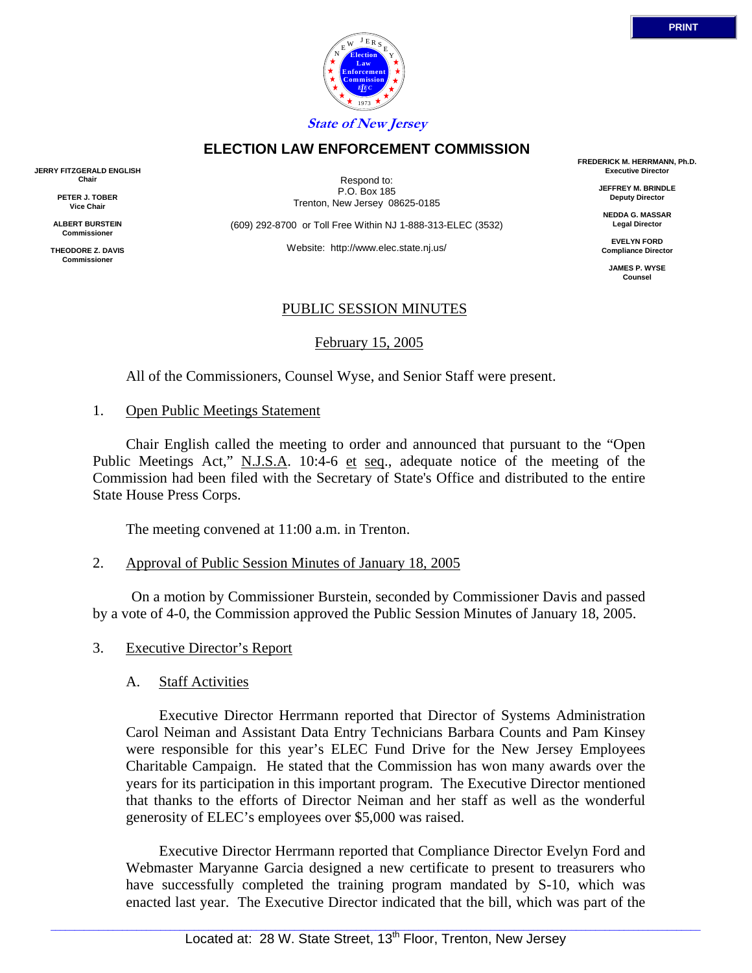



Respond to: P.O. Box 185 Trenton, New Jersey 08625-0185

**ELECTION LAW ENFORCEMENT COMMISSION**

(609) 292-8700 or Toll Free Within NJ 1-888-313-ELEC (3532)

Website: http://www.elec.state.nj.us/

#### PUBLIC SESSION MINUTES

February 15, 2005

All of the Commissioners, Counsel Wyse, and Senior Staff were present.

#### 1. Open Public Meetings Statement

 Chair English called the meeting to order and announced that pursuant to the "Open Public Meetings Act," N.J.S.A. 10:4-6 et seq., adequate notice of the meeting of the Commission had been filed with the Secretary of State's Office and distributed to the entire State House Press Corps.

The meeting convened at 11:00 a.m. in Trenton.

2. Approval of Public Session Minutes of January 18, 2005

 On a motion by Commissioner Burstein, seconded by Commissioner Davis and passed by a vote of 4-0, the Commission approved the Public Session Minutes of January 18, 2005.

3. Executive Director's Report

#### A. Staff Activities

 Executive Director Herrmann reported that Director of Systems Administration Carol Neiman and Assistant Data Entry Technicians Barbara Counts and Pam Kinsey were responsible for this year's ELEC Fund Drive for the New Jersey Employees Charitable Campaign. He stated that the Commission has won many awards over the years for its participation in this important program. The Executive Director mentioned that thanks to the efforts of Director Neiman and her staff as well as the wonderful generosity of ELEC's employees over \$5,000 was raised.

 Executive Director Herrmann reported that Compliance Director Evelyn Ford and Webmaster Maryanne Garcia designed a new certificate to present to treasurers who have successfully completed the training program mandated by S-10, which was enacted last year. The Executive Director indicated that the bill, which was part of the

**FREDERICK M. HERRMANN, Ph.D. Executive Director**

> **JEFFREY M. BRINDLE Deputy Director**

**NEDDA G. MASSAR Legal Director**

**EVELYN FORD Compliance Director**

> **JAMES P. WYSE Counsel**



**JERRY FITZGERALD ENGLISH Chair**

> **PETER J. TOBER Vice Chair**

**ALBERT BURSTEIN Commissioner** 

**THEODORE Z. DAVIS Commissione**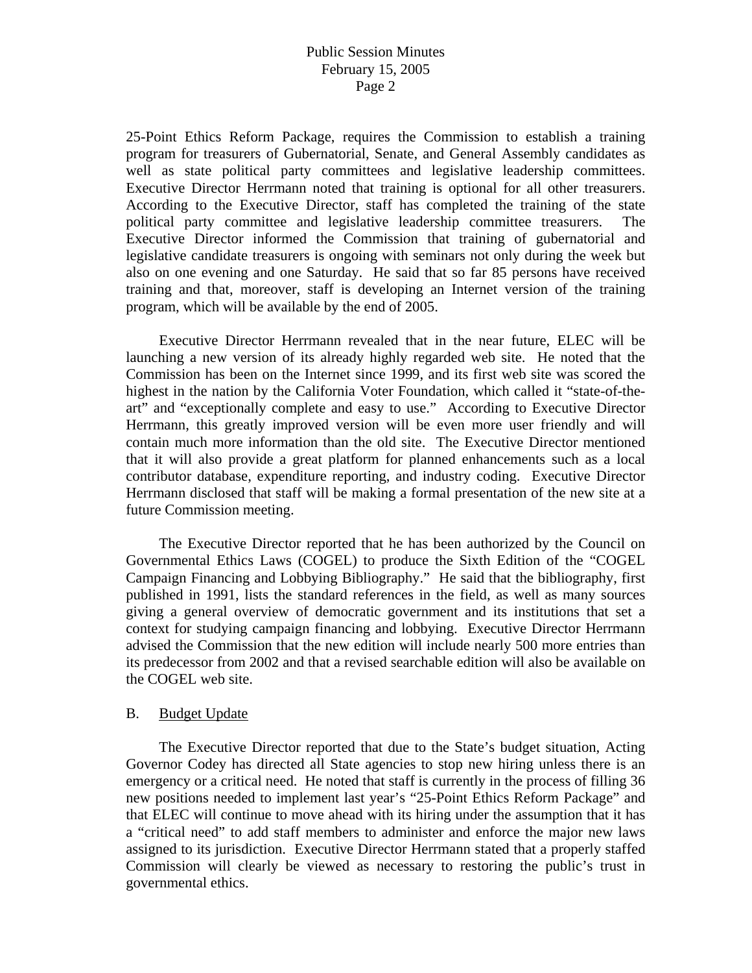25-Point Ethics Reform Package, requires the Commission to establish a training program for treasurers of Gubernatorial, Senate, and General Assembly candidates as well as state political party committees and legislative leadership committees. Executive Director Herrmann noted that training is optional for all other treasurers. According to the Executive Director, staff has completed the training of the state political party committee and legislative leadership committee treasurers. The Executive Director informed the Commission that training of gubernatorial and legislative candidate treasurers is ongoing with seminars not only during the week but also on one evening and one Saturday. He said that so far 85 persons have received training and that, moreover, staff is developing an Internet version of the training program, which will be available by the end of 2005.

 Executive Director Herrmann revealed that in the near future, ELEC will be launching a new version of its already highly regarded web site. He noted that the Commission has been on the Internet since 1999, and its first web site was scored the highest in the nation by the California Voter Foundation, which called it "state-of-theart" and "exceptionally complete and easy to use." According to Executive Director Herrmann, this greatly improved version will be even more user friendly and will contain much more information than the old site. The Executive Director mentioned that it will also provide a great platform for planned enhancements such as a local contributor database, expenditure reporting, and industry coding. Executive Director Herrmann disclosed that staff will be making a formal presentation of the new site at a future Commission meeting.

 The Executive Director reported that he has been authorized by the Council on Governmental Ethics Laws (COGEL) to produce the Sixth Edition of the "COGEL Campaign Financing and Lobbying Bibliography." He said that the bibliography, first published in 1991, lists the standard references in the field, as well as many sources giving a general overview of democratic government and its institutions that set a context for studying campaign financing and lobbying. Executive Director Herrmann advised the Commission that the new edition will include nearly 500 more entries than its predecessor from 2002 and that a revised searchable edition will also be available on the COGEL web site.

#### B. Budget Update

 The Executive Director reported that due to the State's budget situation, Acting Governor Codey has directed all State agencies to stop new hiring unless there is an emergency or a critical need. He noted that staff is currently in the process of filling 36 new positions needed to implement last year's "25-Point Ethics Reform Package" and that ELEC will continue to move ahead with its hiring under the assumption that it has a "critical need" to add staff members to administer and enforce the major new laws assigned to its jurisdiction. Executive Director Herrmann stated that a properly staffed Commission will clearly be viewed as necessary to restoring the public's trust in governmental ethics.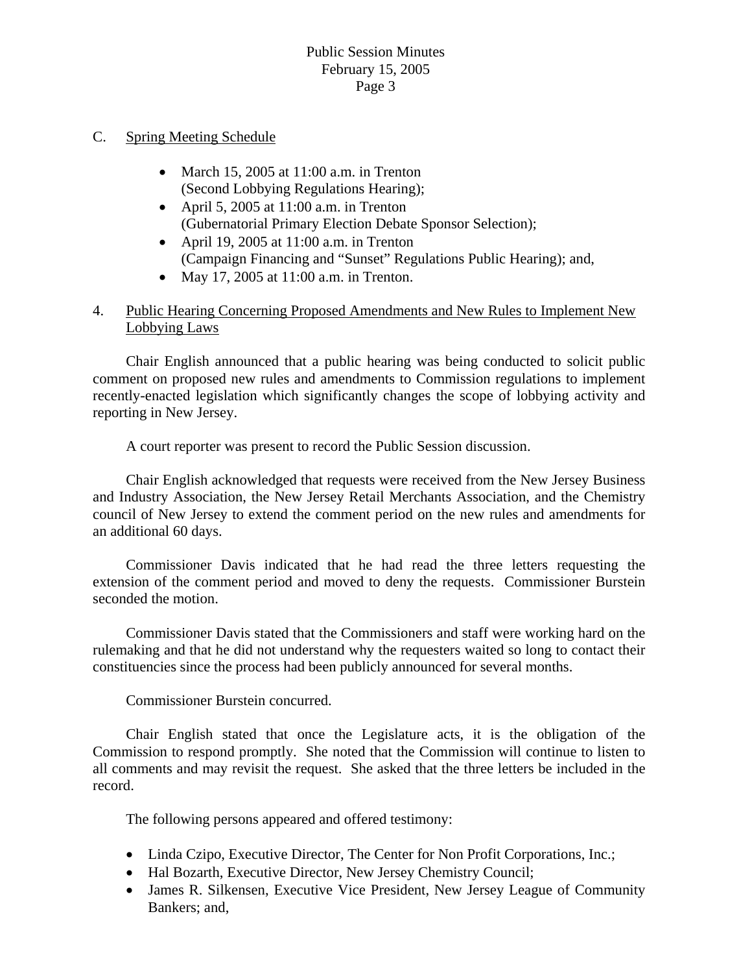### C. Spring Meeting Schedule

- March 15, 2005 at  $11:00$  a.m. in Trenton (Second Lobbying Regulations Hearing);
- April 5, 2005 at 11:00 a.m. in Trenton (Gubernatorial Primary Election Debate Sponsor Selection);
- April 19, 2005 at 11:00 a.m. in Trenton (Campaign Financing and "Sunset" Regulations Public Hearing); and,
- May 17, 2005 at 11:00 a.m. in Trenton.

# 4. Public Hearing Concerning Proposed Amendments and New Rules to Implement New Lobbying Laws

 Chair English announced that a public hearing was being conducted to solicit public comment on proposed new rules and amendments to Commission regulations to implement recently-enacted legislation which significantly changes the scope of lobbying activity and reporting in New Jersey.

A court reporter was present to record the Public Session discussion.

 Chair English acknowledged that requests were received from the New Jersey Business and Industry Association, the New Jersey Retail Merchants Association, and the Chemistry council of New Jersey to extend the comment period on the new rules and amendments for an additional 60 days.

 Commissioner Davis indicated that he had read the three letters requesting the extension of the comment period and moved to deny the requests. Commissioner Burstein seconded the motion.

 Commissioner Davis stated that the Commissioners and staff were working hard on the rulemaking and that he did not understand why the requesters waited so long to contact their constituencies since the process had been publicly announced for several months.

Commissioner Burstein concurred.

 Chair English stated that once the Legislature acts, it is the obligation of the Commission to respond promptly. She noted that the Commission will continue to listen to all comments and may revisit the request. She asked that the three letters be included in the record.

The following persons appeared and offered testimony:

- Linda Czipo, Executive Director, The Center for Non Profit Corporations, Inc.;
- Hal Bozarth, Executive Director, New Jersey Chemistry Council;
- James R. Silkensen, Executive Vice President, New Jersey League of Community Bankers; and,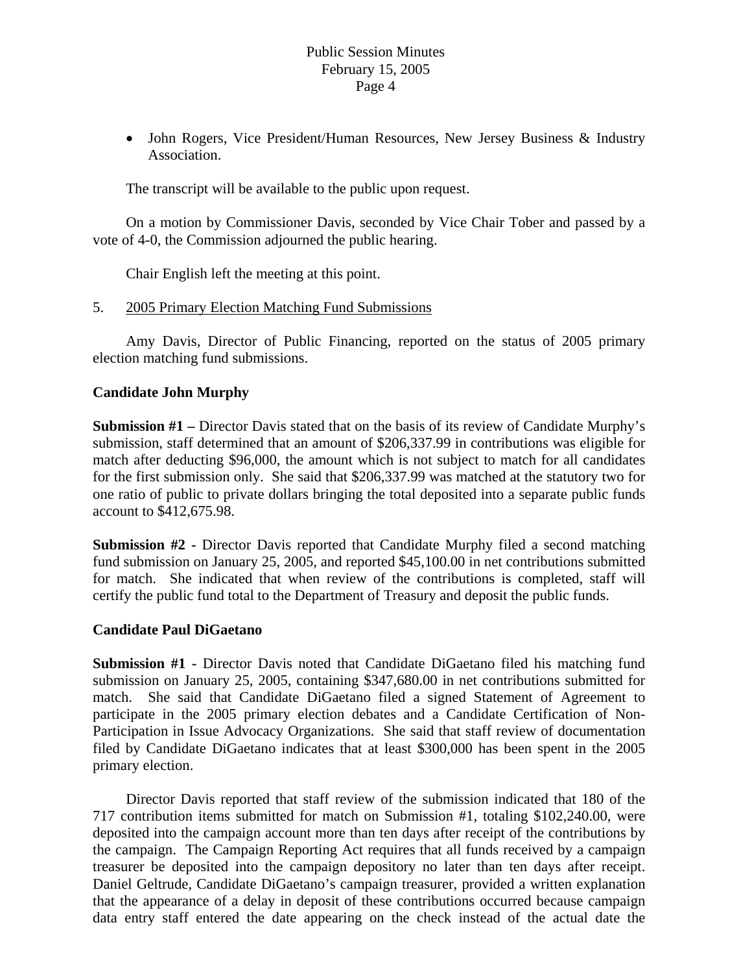• John Rogers, Vice President/Human Resources, New Jersey Business & Industry Association.

The transcript will be available to the public upon request.

 On a motion by Commissioner Davis, seconded by Vice Chair Tober and passed by a vote of 4-0, the Commission adjourned the public hearing.

Chair English left the meeting at this point.

### 5. 2005 Primary Election Matching Fund Submissions

 Amy Davis, Director of Public Financing, reported on the status of 2005 primary election matching fund submissions.

### **Candidate John Murphy**

**Submission #1** – Director Davis stated that on the basis of its review of Candidate Murphy's submission, staff determined that an amount of \$206,337.99 in contributions was eligible for match after deducting \$96,000, the amount which is not subject to match for all candidates for the first submission only. She said that \$206,337.99 was matched at the statutory two for one ratio of public to private dollars bringing the total deposited into a separate public funds account to \$412,675.98.

**Submission #2 -** Director Davis reported that Candidate Murphy filed a second matching fund submission on January 25, 2005, and reported \$45,100.00 in net contributions submitted for match. She indicated that when review of the contributions is completed, staff will certify the public fund total to the Department of Treasury and deposit the public funds.

### **Candidate Paul DiGaetano**

**Submission #1 -** Director Davis noted that Candidate DiGaetano filed his matching fund submission on January 25, 2005, containing \$347,680.00 in net contributions submitted for match. She said that Candidate DiGaetano filed a signed Statement of Agreement to participate in the 2005 primary election debates and a Candidate Certification of Non-Participation in Issue Advocacy Organizations. She said that staff review of documentation filed by Candidate DiGaetano indicates that at least \$300,000 has been spent in the 2005 primary election.

 Director Davis reported that staff review of the submission indicated that 180 of the 717 contribution items submitted for match on Submission #1, totaling \$102,240.00, were deposited into the campaign account more than ten days after receipt of the contributions by the campaign. The Campaign Reporting Act requires that all funds received by a campaign treasurer be deposited into the campaign depository no later than ten days after receipt. Daniel Geltrude, Candidate DiGaetano's campaign treasurer, provided a written explanation that the appearance of a delay in deposit of these contributions occurred because campaign data entry staff entered the date appearing on the check instead of the actual date the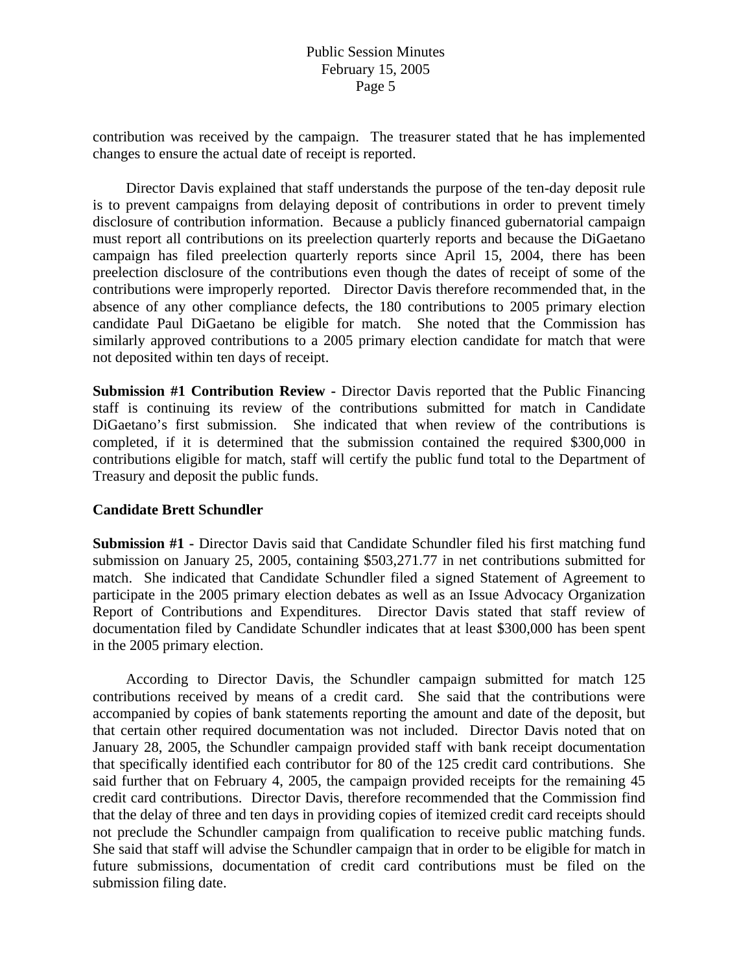contribution was received by the campaign. The treasurer stated that he has implemented changes to ensure the actual date of receipt is reported.

 Director Davis explained that staff understands the purpose of the ten-day deposit rule is to prevent campaigns from delaying deposit of contributions in order to prevent timely disclosure of contribution information. Because a publicly financed gubernatorial campaign must report all contributions on its preelection quarterly reports and because the DiGaetano campaign has filed preelection quarterly reports since April 15, 2004, there has been preelection disclosure of the contributions even though the dates of receipt of some of the contributions were improperly reported. Director Davis therefore recommended that, in the absence of any other compliance defects, the 180 contributions to 2005 primary election candidate Paul DiGaetano be eligible for match. She noted that the Commission has similarly approved contributions to a 2005 primary election candidate for match that were not deposited within ten days of receipt.

**Submission #1 Contribution Review -** Director Davis reported that the Public Financing staff is continuing its review of the contributions submitted for match in Candidate DiGaetano's first submission. She indicated that when review of the contributions is completed, if it is determined that the submission contained the required \$300,000 in contributions eligible for match, staff will certify the public fund total to the Department of Treasury and deposit the public funds.

### **Candidate Brett Schundler**

**Submission #1 -** Director Davis said that Candidate Schundler filed his first matching fund submission on January 25, 2005, containing \$503,271.77 in net contributions submitted for match. She indicated that Candidate Schundler filed a signed Statement of Agreement to participate in the 2005 primary election debates as well as an Issue Advocacy Organization Report of Contributions and Expenditures. Director Davis stated that staff review of documentation filed by Candidate Schundler indicates that at least \$300,000 has been spent in the 2005 primary election.

 According to Director Davis, the Schundler campaign submitted for match 125 contributions received by means of a credit card. She said that the contributions were accompanied by copies of bank statements reporting the amount and date of the deposit, but that certain other required documentation was not included. Director Davis noted that on January 28, 2005, the Schundler campaign provided staff with bank receipt documentation that specifically identified each contributor for 80 of the 125 credit card contributions. She said further that on February 4, 2005, the campaign provided receipts for the remaining 45 credit card contributions. Director Davis, therefore recommended that the Commission find that the delay of three and ten days in providing copies of itemized credit card receipts should not preclude the Schundler campaign from qualification to receive public matching funds. She said that staff will advise the Schundler campaign that in order to be eligible for match in future submissions, documentation of credit card contributions must be filed on the submission filing date.